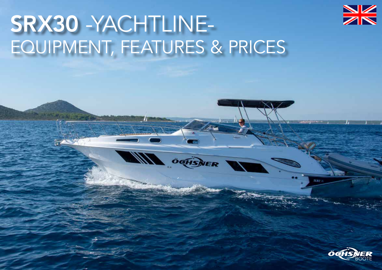

# SRX30 -YACHTLINE-EQUIPMENT, FEATURES & PRICES

**WIND** OFFICIALER



 $s_{\ell}$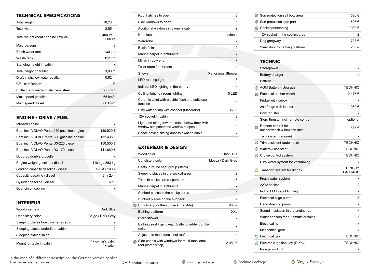#### TECHNICAL SPECIFICATIONS

| <b>Total length</b>                    | 10,23 m                |
|----------------------------------------|------------------------|
| Total width                            | $2,55 \, \text{m}$     |
| Total weight (boat / engine / trailer) | 3.400 kg -<br>3.500 kg |
| Max. persons                           | 8                      |
| Fresh water tank                       | 130 Ltr.               |
| Waste tank                             | 112 Ltr.               |
| Standing height in cabin               | x                      |
| Total height on trailer                | $3,03 \; m$            |
| Draft in shallow water position        | $0,62 \; m$            |
| CF - certification                     | B                      |
| Built-in tank made of stainless steel  | 330 Ltr.*              |
| Max. speed gasoline                    | 65 km/h                |
| Max. speed diesel                      | 60 km/h                |

## ENGINE / DRIVE / FUEL

| Inboard engine                             | x               |
|--------------------------------------------|-----------------|
| Boat incl. VOLVO Penta 240 gasoline engine | 130.920 €       |
| Boat incl. VOLVO Penta 280 gasoline engine | 132.435 €       |
| Boat incl. VOLVO Penta D3-220 diesel       | 150.500 €       |
| Boat incl. VOLVO Penta D3-170 diesel       | 141.680 €       |
| Duoprop double propeller                   | x               |
| Engine weight gasoline / diesel            | 410 kg / 363 kg |
| Loading capacity gasoline / diesel         | 120 A / 180 A   |
| Capacity gasoline / diesel                 | 4,31/2,41       |
| Cylinder gasoline / diesel                 | 6/5             |
| Dual-circuit cooling                       | x               |

#### INTERIEUR

| Wood internals                      | Dark Blue                    |
|-------------------------------------|------------------------------|
| Upholstery color                    | Beige / Dark Grey            |
| Sleeping places bow / owner's cabin | 2                            |
| Sleeping places underfloor cabin    | 2                            |
| Sleeping places salon               |                              |
| Mount for table in cabin            | 1x owner's cabin<br>1x salon |

Roof hatches to open 3 Side windows to open 5 Additional windows in owner's cabin metal capacity and the 2 Hot plate optional Wardrobe x Basin / sink 2 Marine carpet in anthracite x Mirror in bow end x Toilet room / bathroom x Shower **Panorama** Shower LED reading light 3 Indirect LED lighting in the pantry x Ceiling lighting / room lighting 5 LED Ceramic toilet with electric flush and softclose soluting the time specific hash and continued<br>function Dirty water pump with chopper (Macerator)  $350 \in$ 12V socket in cabin 3 Light and airing tower in cabin below deck with Light and all ing tower in cabin below deck with  $x = x^2 + 2x + 3$ Space saving sliding door to owner's cabin x x

## EXTERIEUR & DESIGN

|                                               | Wood color                                                         | Dark Blue         |
|-----------------------------------------------|--------------------------------------------------------------------|-------------------|
|                                               | Upholstery color                                                   | Mocca / Dark Grey |
|                                               | Seats in round seat group (stern)                                  | 5                 |
|                                               | Sleeping places in the cockpit area                                | 2                 |
|                                               | Table in cockpit area / persons                                    | 5                 |
|                                               | Marine carpet in anthracite                                        | x                 |
|                                               | Sunbed places in the cockpit area                                  | 2                 |
|                                               | Sunbed places on the sundeck                                       | 2                 |
| $\left( \begin{array}{c} \end{array} \right)$ | Upholstery for the sundeck (rollable)                              | 965€              |
|                                               | Bathing platform                                                   | XXL               |
|                                               | Stern shower                                                       | x                 |
|                                               | Bathing seat / gangway / bathing ladder combi-<br>nation           | x                 |
|                                               | Adjustable multi-functional roof                                   | x                 |
| ∩                                             | Side panels with windows for multi-functional<br>roof (camper top) | 2 080 €           |
|                                               |                                                                    |                   |

| ◯ Sun protection sail bow area | 580€    |
|--------------------------------|---------|
| Sun protection side part       | 605€    |
| Cockpitpersenning              | 1.930 € |
| 12V socket in the cockpit area |         |
| Dog gangway                    | 723€    |
| Stern door to bathing platform | 235€    |
|                                |         |

## **TECHNIC**

|                                             | Shorepower                                        | x                               |
|---------------------------------------------|---------------------------------------------------|---------------------------------|
|                                             | Battery charger                                   | x                               |
|                                             | Battery                                           | 2                               |
|                                             | <b>AGM Battery - Upgrade</b>                      | <b>TECHNIC</b>                  |
| ∩                                           | Electrical anchor winch                           | 2.475€                          |
|                                             | Fridge with icebox                                | х                               |
|                                             | 2nd fridge with icebox                            | 1.080 €                         |
|                                             | Bow thruster                                      | x                               |
|                                             | Stern thruster incl. remote control               | optional                        |
|                                             | Remote control for<br>anchor winch & bow thruster | 685€                            |
|                                             | Trim system (engine)                              | х                               |
|                                             | $\bigcirc$ Trim assistent (automatic)             | <b>TECHNIC</b>                  |
|                                             | ◯ Waterski assistant                              | <b>TECHNIC</b>                  |
|                                             | ◯ Cruise control system                           | <b>TECHNIC</b>                  |
|                                             | Dirty water system for vacuuming                  | x                               |
|                                             | $\bigcirc$ Transport system for dinghy            | <b>DINGHY</b><br><b>PACKAGE</b> |
|                                             | Fresh water system                                | x                               |
|                                             | 220V socket                                       | 2                               |
|                                             | Indirect LED spot lighting                        | x                               |
|                                             | Electrical bilge pump                             | 3                               |
|                                             | Hand draining pump                                | x                               |
|                                             | Sound insulation in the engine room               | X                               |
|                                             | Water sensors for automatic draining              | 3                               |
|                                             | Electrical horn                                   | x                               |
|                                             | Mechanical gear                                   | x                               |
| $\left(\begin{array}{c} \end{array}\right)$ | Electrical gear                                   | <b>TECHNIC</b>                  |
|                                             | Electronic ignition key (E-Key)                   | <b>TECHNIC</b>                  |
|                                             | Navigation light                                  | x                               |
|                                             |                                                   |                                 |

In the case of a different description, the German version applies. The prices are net prices.

X = Standard features Touring-Package C Technic-Package C Dinghy-Package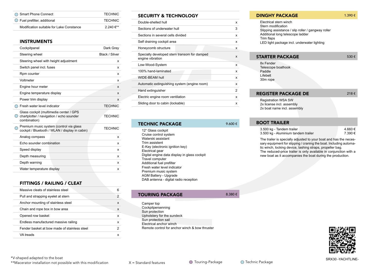| ◯ Smart Phone Connect                    | <b>TECHNIC</b>        |
|------------------------------------------|-----------------------|
| $\bigcirc$ Fuel prefilter, additional    | <b>TECHNIC</b>        |
| Modification suitable for Lake Constance | 2 240 $\epsilon^{**}$ |

#### INSTRUMENTS

| Cockpitpanel                                                                                       | Dark Grey      |
|----------------------------------------------------------------------------------------------------|----------------|
| Steering wheel                                                                                     | Black / Silver |
| Steering wheel with height adjustment                                                              | x              |
| Switch panel incl. fuses                                                                           | x              |
| Rpm counter                                                                                        | x              |
| Voltmeter                                                                                          | x              |
| Engine hour meter                                                                                  | X              |
| Engine temperature display                                                                         | X              |
| Power trim display                                                                                 | x              |
| Fresh water level indicator                                                                        | <b>TFCHNIC</b> |
| Glass cockpit (multimedia center / GPS<br>chartplotter / navigation / echo sounder<br>combination) | <b>TECHNIC</b> |
| Premium music system (control via glass<br>cockpit / Bluetooth / WLAN / display in cabin)          | <b>TECHNIC</b> |
| Analog compass                                                                                     | x              |
| Echo sounder combination                                                                           | x              |
| Speed display                                                                                      | x              |
| Depth measuring                                                                                    | x              |
| Depth warning                                                                                      | x              |
| Water temperature display                                                                          | x              |

# FITTINGS / RAILING / CLEAT

| Massive cleats of stainless steel            | 6 |
|----------------------------------------------|---|
| Pull and strapping eyelet at stern           | 2 |
| Anchor mounting of stainless steel           | X |
| Chain and rope box in bow area               | X |
| Opened row basket                            | x |
| Endless manufactured massive railing         | x |
| Fender basket at bow made of stainless steel | 2 |
| VA treads                                    | x |
|                                              |   |

#### SECURITY & TECHNOLOGY

| Double-shelled hull                                              | x |
|------------------------------------------------------------------|---|
| Sections of underwater hull                                      | 3 |
| Sections in several cells divided                                | x |
| Self draining cockpit area                                       | x |
| Honeycomb structure                                              | x |
| Specially developed stern transom for damped<br>engine vibration | X |
| Low-Wood-System                                                  | x |
| 100% hand-laminated                                              | x |
| WIDF-BFAM hull                                                   | x |
| Automatic extinguishing system (engine room)                     | x |
| Hand extinguisher                                                | 2 |
| Electric engine room ventilation                                 | x |
| Sliding door to cabin (lockable)                                 | x |

| TECHNIC PACKAGE                              | 9.600 € |
|----------------------------------------------|---------|
| 12" Glass cockpit                            |         |
| Cruise control system                        |         |
| Waterski assistant                           |         |
| Trim assistent                               |         |
| E-Key (electronic ignition key)              |         |
| Electrical gear                              |         |
| Digital engine data display in glass cockpit |         |
| Travel computer                              |         |
| Additional fuel prefilter                    |         |
| Fresh water level indicator                  |         |
| Premium music system                         |         |
| <b>AGM Battery - Upgrade</b>                 |         |
| DAB antenna - digital radio reception        |         |

## TOURING PACKAGE 8.380 €

- 
- Camper top Cockpitpersenning Sun protection Upholstery for the sundeck Sun protection sail Electrical anchor winch Remote control for anchor winch & bow thruster

#### **DINGHY PACKAGE** 1.390  $\epsilon$

Electrical stern winch Stern modification Slipping assistance / slip roller / gangway roller Additional long telescope ladder Trim flaps LED light package incl. underwater lighting

#### **STARTER PACKAGE** 530 €

8x Fender Telescope boathook Paddle Lifebelt 30m rope

| <b>REGISTER PACKAGE DE</b> | 218€ |
|----------------------------|------|
|                            |      |

Registration WSA SW 2x license incl. assembly 2x boat name incl. assembly

# BOOT TRAILER

| 3.500 kg - Tandem trailer           | 4.660 € |
|-------------------------------------|---------|
| 3.500 kg - Aluminium tandem trailer | 7.390 € |

The trailer is specially adjusted to your boat and has the necessary equipment for slipping / craning the boat. Including automatic winch, locking device, lashing straps, propeller bag. The reduced-price trailer is only available in conjunction with a new boat as it accompanies the boat during the production.